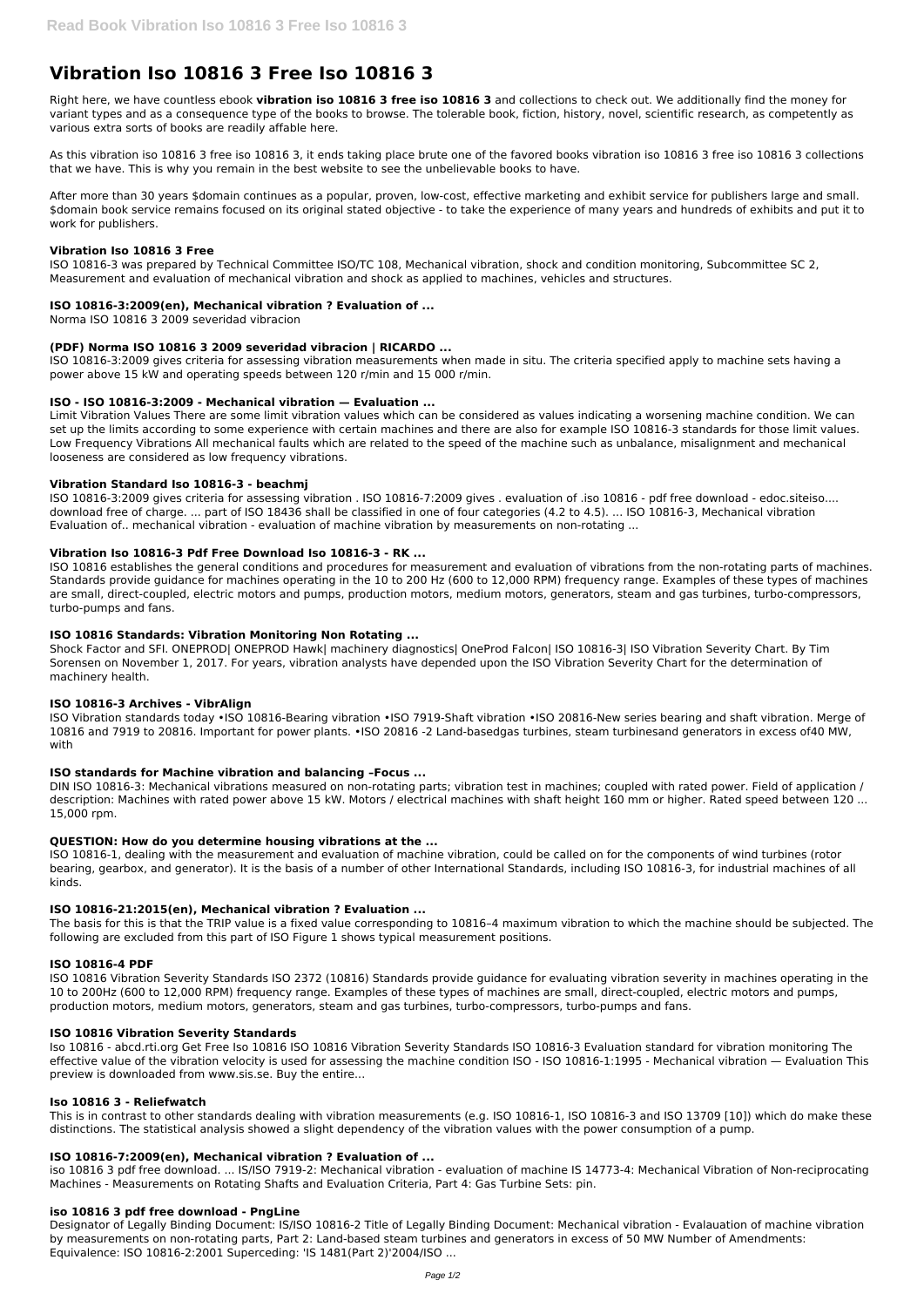# **Vibration Iso 10816 3 Free Iso 10816 3**

Right here, we have countless ebook **vibration iso 10816 3 free iso 10816 3** and collections to check out. We additionally find the money for variant types and as a consequence type of the books to browse. The tolerable book, fiction, history, novel, scientific research, as competently as various extra sorts of books are readily affable here.

As this vibration iso 10816 3 free iso 10816 3, it ends taking place brute one of the favored books vibration iso 10816 3 free iso 10816 3 collections that we have. This is why you remain in the best website to see the unbelievable books to have.

After more than 30 years \$domain continues as a popular, proven, low-cost, effective marketing and exhibit service for publishers large and small. \$domain book service remains focused on its original stated objective - to take the experience of many years and hundreds of exhibits and put it to work for publishers.

### **Vibration Iso 10816 3 Free**

ISO 10816-3 was prepared by Technical Committee ISO/TC 108, Mechanical vibration, shock and condition monitoring, Subcommittee SC 2, Measurement and evaluation of mechanical vibration and shock as applied to machines, vehicles and structures.

### **ISO 10816-3:2009(en), Mechanical vibration ? Evaluation of ...**

Norma ISO 10816 3 2009 severidad vibracion

# **(PDF) Norma ISO 10816 3 2009 severidad vibracion | RICARDO ...**

ISO 10816-3:2009 gives criteria for assessing vibration measurements when made in situ. The criteria specified apply to machine sets having a power above 15 kW and operating speeds between 120 r/min and 15 000 r/min.

### **ISO - ISO 10816-3:2009 - Mechanical vibration — Evaluation ...**

Limit Vibration Values There are some limit vibration values which can be considered as values indicating a worsening machine condition. We can set up the limits according to some experience with certain machines and there are also for example ISO 10816-3 standards for those limit values. Low Frequency Vibrations All mechanical faults which are related to the speed of the machine such as unbalance, misalignment and mechanical looseness are considered as low frequency vibrations.

### **Vibration Standard Iso 10816-3 - beachmj**

ISO 10816-3:2009 gives criteria for assessing vibration . ISO 10816-7:2009 gives . evaluation of .iso 10816 - pdf free download - edoc.siteiso.... download free of charge. ... part of ISO 18436 shall be classified in one of four categories (4.2 to 4.5). ... ISO 10816-3, Mechanical vibration Evaluation of.. mechanical vibration - evaluation of machine vibration by measurements on non-rotating ...

### **Vibration Iso 10816-3 Pdf Free Download Iso 10816-3 - RK ...**

ISO 10816 establishes the general conditions and procedures for measurement and evaluation of vibrations from the non-rotating parts of machines. Standards provide guidance for machines operating in the 10 to 200 Hz (600 to 12,000 RPM) frequency range. Examples of these types of machines are small, direct-coupled, electric motors and pumps, production motors, medium motors, generators, steam and gas turbines, turbo-compressors, turbo-pumps and fans.

### **ISO 10816 Standards: Vibration Monitoring Non Rotating ...**

Shock Factor and SFI. ONEPROD| ONEPROD Hawk| machinery diagnostics| OneProd Falcon| ISO 10816-3| ISO Vibration Severity Chart. By Tim Sorensen on November 1, 2017. For years, vibration analysts have depended upon the ISO Vibration Severity Chart for the determination of machinery health.

### **ISO 10816-3 Archives - VibrAlign**

ISO Vibration standards today •ISO 10816‐Bearing vibration •ISO 7919‐Shaft vibration •ISO 20816‐New series bearing and shaft vibration. Merge of 10816 and 7919 to 20816. Important for power plants. •ISO 20816 ‐2 Land‐basedgas turbines, steam turbinesand generators in excess of40 MW, with

### **ISO standards for Machine vibration and balancing –Focus ...**

DIN ISO 10816-3: Mechanical vibrations measured on non-rotating parts; vibration test in machines; coupled with rated power. Field of application / description: Machines with rated power above 15 kW. Motors / electrical machines with shaft height 160 mm or higher. Rated speed between 120 ... 15,000 rpm.

### **QUESTION: How do you determine housing vibrations at the ...**

ISO 10816-1, dealing with the measurement and evaluation of machine vibration, could be called on for the components of wind turbines (rotor bearing, gearbox, and generator). It is the basis of a number of other International Standards, including ISO 10816-3, for industrial machines of all kinds.

### **ISO 10816-21:2015(en), Mechanical vibration ? Evaluation ...**

The basis for this is that the TRIP value is a fixed value corresponding to 10816–4 maximum vibration to which the machine should be subjected. The following are excluded from this part of ISO Figure 1 shows typical measurement positions.

## **ISO 10816-4 PDF**

ISO 10816 Vibration Severity Standards ISO 2372 (10816) Standards provide guidance for evaluating vibration severity in machines operating in the

10 to 200Hz (600 to 12,000 RPM) frequency range. Examples of these types of machines are small, direct-coupled, electric motors and pumps, production motors, medium motors, generators, steam and gas turbines, turbo-compressors, turbo-pumps and fans.

#### **ISO 10816 Vibration Severity Standards**

Iso 10816 - abcd.rti.org Get Free Iso 10816 ISO 10816 Vibration Severity Standards ISO 10816-3 Evaluation standard for vibration monitoring The effective value of the vibration velocity is used for assessing the machine condition ISO - ISO 10816-1:1995 - Mechanical vibration — Evaluation This preview is downloaded from www.sis.se. Buy the entire...

#### **Iso 10816 3 - Reliefwatch**

This is in contrast to other standards dealing with vibration measurements (e.g. ISO 10816-1, ISO 10816-3 and ISO 13709 [10]) which do make these distinctions. The statistical analysis showed a slight dependency of the vibration values with the power consumption of a pump.

#### **ISO 10816-7:2009(en), Mechanical vibration ? Evaluation of ...**

iso 10816 3 pdf free download. ... IS/ISO 7919-2: Mechanical vibration - evaluation of machine IS 14773-4: Mechanical Vibration of Non-reciprocating Machines - Measurements on Rotating Shafts and Evaluation Criteria, Part 4: Gas Turbine Sets: pin.

### **iso 10816 3 pdf free download - PngLine**

Designator of Legally Binding Document: IS/ISO 10816-2 Title of Legally Binding Document: Mechanical vibration - Evalauation of machine vibration by measurements on non-rotating parts, Part 2: Land-based steam turbines and generators in excess of 50 MW Number of Amendments: Equivalence: ISO 10816-2:2001 Superceding: 'IS 1481(Part 2)'2004/ISO ...